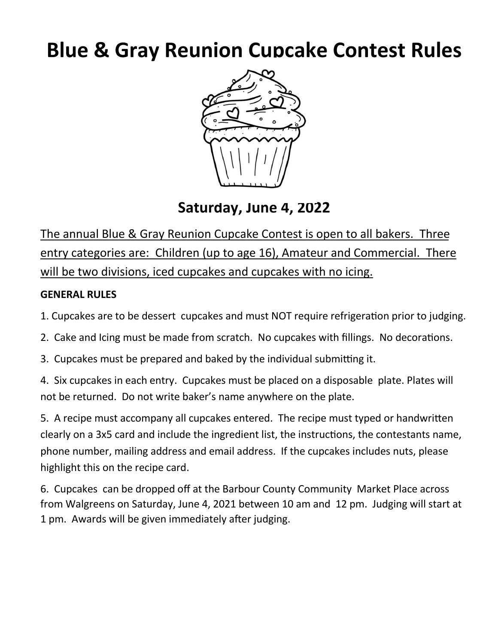## **Blue & Gray Reunion Cupcake Contest Rules**



**Saturday, June 4, 2022** 

The annual Blue & Gray Reunion Cupcake Contest is open to all bakers. Three entry categories are: Children (up to age 16), Amateur and Commercial. There will be two divisions, iced cupcakes and cupcakes with no icing.

## **GENERAL RULES**

1. Cupcakes are to be dessert cupcakes and must NOT require refrigeration prior to judging.

- 2. Cake and Icing must be made from scratch. No cupcakes with fillings. No decorations.
- 3. Cupcakes must be prepared and baked by the individual submitting it.

4. Six cupcakes in each entry. Cupcakes must be placed on a disposable plate. Plates will not be returned. Do not write baker's name anywhere on the plate.

5. A recipe must accompany all cupcakes entered. The recipe must typed or handwritten clearly on a 3x5 card and include the ingredient list, the instructions, the contestants name, phone number, mailing address and email address. If the cupcakes includes nuts, please highlight this on the recipe card.

6. Cupcakes can be dropped off at the Barbour County Community Market Place across from Walgreens on Saturday, June 4, 2021 between 10 am and 12 pm. Judging will start at 1 pm. Awards will be given immediately after judging.